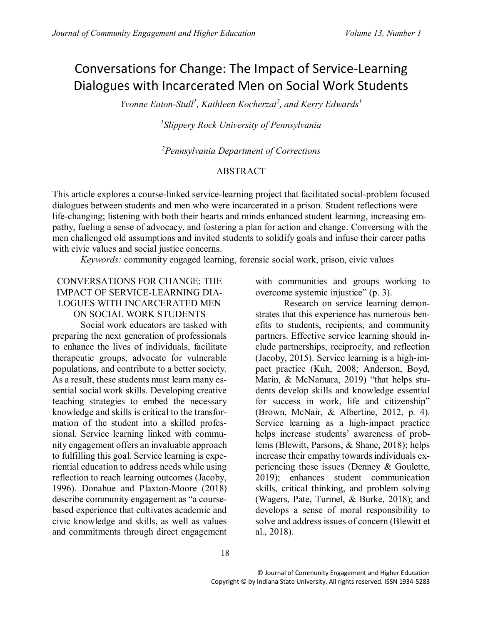# Conversations for Change: The Impact of Service-Learning Dialogues with Incarcerated Men on Social Work Students

*Yvonne Eaton-Stull<sup>1</sup> , Kathleen Kocherzat<sup>2</sup> , and Kerry Edwards<sup>1</sup>*

*1 Slippery Rock University of Pennsylvania*

*<sup>2</sup>Pennsylvania Department of Corrections*

## ABSTRACT

This article explores a course-linked service-learning project that facilitated social-problem focused dialogues between students and men who were incarcerated in a prison. Student reflections were life-changing; listening with both their hearts and minds enhanced student learning, increasing empathy, fueling a sense of advocacy, and fostering a plan for action and change. Conversing with the men challenged old assumptions and invited students to solidify goals and infuse their career paths with civic values and social justice concerns.

*Keywords:* community engaged learning, forensic social work, prison, civic values

## CONVERSATIONS FOR CHANGE: THE IMPACT OF SERVICE-LEARNING DIA-LOGUES WITH INCARCERATED MEN ON SOCIAL WORK STUDENTS

Social work educators are tasked with preparing the next generation of professionals to enhance the lives of individuals, facilitate therapeutic groups, advocate for vulnerable populations, and contribute to a better society. As a result, these students must learn many essential social work skills. Developing creative teaching strategies to embed the necessary knowledge and skills is critical to the transformation of the student into a skilled professional. Service learning linked with community engagement offers an invaluable approach to fulfilling this goal. Service learning is experiential education to address needs while using reflection to reach learning outcomes (Jacoby, 1996). Donahue and Plaxton-Moore (2018) describe community engagement as "a coursebased experience that cultivates academic and civic knowledge and skills, as well as values and commitments through direct engagement

with communities and groups working to overcome systemic injustice" (p. 3).

Research on service learning demonstrates that this experience has numerous benefits to students, recipients, and community partners. Effective service learning should include partnerships, reciprocity, and reflection (Jacoby, 2015). Service learning is a high-impact practice (Kuh, 2008; Anderson, Boyd, Marin, & McNamara, 2019) "that helps students develop skills and knowledge essential for success in work, life and citizenship" (Brown, McNair, & Albertine, 2012, p. 4). Service learning as a high-impact practice helps increase students' awareness of problems (Blewitt, Parsons, & Shane, 2018); helps increase their empathy towards individuals experiencing these issues (Denney & Goulette, 2019); enhances student communication skills, critical thinking, and problem solving (Wagers, Pate, Turmel, & Burke, 2018); and develops a sense of moral responsibility to solve and address issues of concern (Blewitt et al., 2018).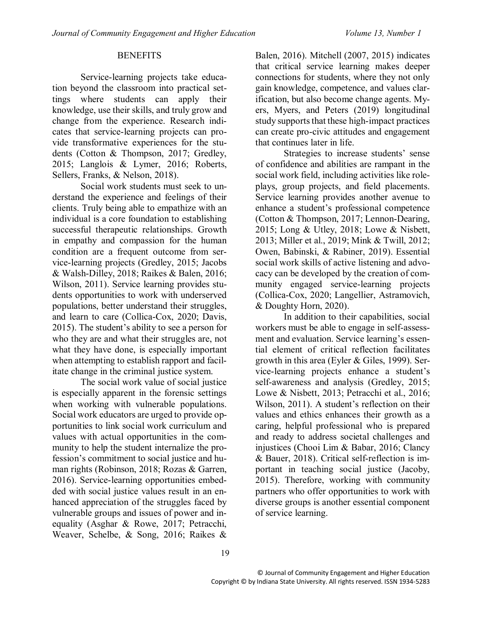#### **BENEFITS**

Service-learning projects take education beyond the classroom into practical settings where students can apply their knowledge, use their skills, and truly grow and change from the experience. Research indicates that service-learning projects can provide transformative experiences for the students (Cotton & Thompson, 2017; Gredley, 2015; Langlois & Lymer, 2016; Roberts, Sellers, Franks, & Nelson, 2018).

Social work students must seek to understand the experience and feelings of their clients. Truly being able to empathize with an individual is a core foundation to establishing successful therapeutic relationships. Growth in empathy and compassion for the human condition are a frequent outcome from service-learning projects (Gredley, 2015; Jacobs & Walsh-Dilley, 2018; Raikes & Balen, 2016; Wilson, 2011). Service learning provides students opportunities to work with underserved populations, better understand their struggles, and learn to care (Collica-Cox, 2020; Davis, 2015). The student's ability to see a person for who they are and what their struggles are, not what they have done, is especially important when attempting to establish rapport and facilitate change in the criminal justice system.

The social work value of social justice is especially apparent in the forensic settings when working with vulnerable populations. Social work educators are urged to provide opportunities to link social work curriculum and values with actual opportunities in the community to help the student internalize the profession's commitment to social justice and human rights (Robinson, 2018; Rozas & Garren, 2016). Service-learning opportunities embedded with social justice values result in an enhanced appreciation of the struggles faced by vulnerable groups and issues of power and inequality (Asghar & Rowe, 2017; Petracchi, Weaver, Schelbe, & Song, 2016; Raikes &

Balen, 2016). Mitchell (2007, 2015) indicates that critical service learning makes deeper connections for students, where they not only gain knowledge, competence, and values clarification, but also become change agents. Myers, Myers, and Peters (2019) longitudinal study supports that these high-impact practices can create pro-civic attitudes and engagement that continues later in life.

Strategies to increase students' sense of confidence and abilities are rampant in the social work field, including activities like roleplays, group projects, and field placements. Service learning provides another avenue to enhance a student's professional competence (Cotton & Thompson, 2017; Lennon-Dearing, 2015; Long & Utley, 2018; Lowe & Nisbett, 2013; Miller et al., 2019; Mink & Twill, 2012; Owen, Babinski, & Rabiner, 2019). Essential social work skills of active listening and advocacy can be developed by the creation of community engaged service-learning projects (Collica-Cox, 2020; Langellier, Astramovich, & Doughty Horn, 2020).

In addition to their capabilities, social workers must be able to engage in self-assessment and evaluation. Service learning's essential element of critical reflection facilitates growth in this area (Eyler & Giles, 1999). Service-learning projects enhance a student's self-awareness and analysis (Gredley, 2015; Lowe & Nisbett, 2013; Petracchi et al., 2016; Wilson, 2011). A student's reflection on their values and ethics enhances their growth as a caring, helpful professional who is prepared and ready to address societal challenges and injustices (Chooi Lim & Babar, 2016; Clancy & Bauer, 2018). Critical self-reflection is important in teaching social justice (Jacoby, 2015). Therefore, working with community partners who offer opportunities to work with diverse groups is another essential component of service learning.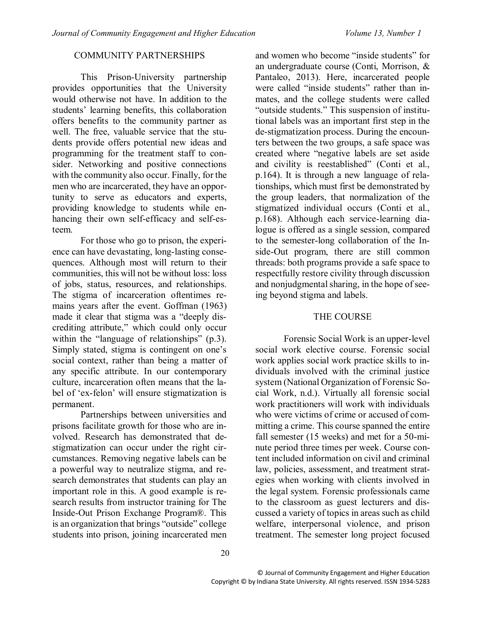## COMMUNITY PARTNERSHIPS

This Prison-University partnership provides opportunities that the University would otherwise not have. In addition to the students' learning benefits, this collaboration offers benefits to the community partner as well. The free, valuable service that the students provide offers potential new ideas and programming for the treatment staff to consider. Networking and positive connections with the community also occur. Finally, for the men who are incarcerated, they have an opportunity to serve as educators and experts, providing knowledge to students while enhancing their own self-efficacy and self-esteem.

For those who go to prison, the experience can have devastating, long-lasting consequences. Although most will return to their communities, this will not be without loss: loss of jobs, status, resources, and relationships. The stigma of incarceration oftentimes remains years after the event. Goffman (1963) made it clear that stigma was a "deeply discrediting attribute," which could only occur within the "language of relationships" (p.3). Simply stated, stigma is contingent on one's social context, rather than being a matter of any specific attribute. In our contemporary culture, incarceration often means that the label of 'ex-felon' will ensure stigmatization is permanent.

Partnerships between universities and prisons facilitate growth for those who are involved. Research has demonstrated that destigmatization can occur under the right circumstances. Removing negative labels can be a powerful way to neutralize stigma, and research demonstrates that students can play an important role in this. A good example is research results from instructor training for The Inside-Out Prison Exchange Program®. This is an organization that brings "outside" college students into prison, joining incarcerated men

and women who become "inside students" for an undergraduate course (Conti, Morrison, & Pantaleo, 2013). Here, incarcerated people were called "inside students" rather than inmates, and the college students were called "outside students." This suspension of institutional labels was an important first step in the de-stigmatization process. During the encounters between the two groups, a safe space was created where "negative labels are set aside and civility is reestablished" (Conti et al., p.164). It is through a new language of relationships, which must first be demonstrated by the group leaders, that normalization of the stigmatized individual occurs (Conti et al., p.168). Although each service-learning dialogue is offered as a single session, compared to the semester-long collaboration of the Inside-Out program, there are still common threads: both programs provide a safe space to respectfully restore civility through discussion and nonjudgmental sharing, in the hope of seeing beyond stigma and labels.

## THE COURSE

Forensic Social Work is an upper-level social work elective course. Forensic social work applies social work practice skills to individuals involved with the criminal justice system (National Organization of Forensic Social Work, n.d.). Virtually all forensic social work practitioners will work with individuals who were victims of crime or accused of committing a crime. This course spanned the entire fall semester (15 weeks) and met for a 50-minute period three times per week. Course content included information on civil and criminal law, policies, assessment, and treatment strategies when working with clients involved in the legal system. Forensic professionals came to the classroom as guest lecturers and discussed a variety of topics in areas such as child welfare, interpersonal violence, and prison treatment. The semester long project focused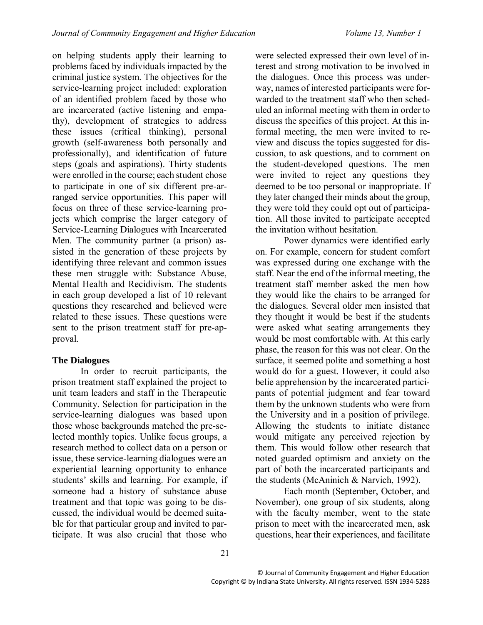on helping students apply their learning to problems faced by individuals impacted by the criminal justice system. The objectives for the service-learning project included: exploration of an identified problem faced by those who are incarcerated (active listening and empathy), development of strategies to address these issues (critical thinking), personal growth (self-awareness both personally and professionally), and identification of future steps (goals and aspirations). Thirty students were enrolled in the course; each student chose to participate in one of six different pre-arranged service opportunities. This paper will focus on three of these service-learning projects which comprise the larger category of Service-Learning Dialogues with Incarcerated Men. The community partner (a prison) assisted in the generation of these projects by identifying three relevant and common issues these men struggle with: Substance Abuse, Mental Health and Recidivism. The students in each group developed a list of 10 relevant questions they researched and believed were related to these issues. These questions were sent to the prison treatment staff for pre-approval.

## **The Dialogues**

In order to recruit participants, the prison treatment staff explained the project to unit team leaders and staff in the Therapeutic Community. Selection for participation in the service-learning dialogues was based upon those whose backgrounds matched the pre-selected monthly topics. Unlike focus groups, a research method to collect data on a person or issue, these service-learning dialogues were an experiential learning opportunity to enhance students' skills and learning. For example, if someone had a history of substance abuse treatment and that topic was going to be discussed, the individual would be deemed suitable for that particular group and invited to participate. It was also crucial that those who

were selected expressed their own level of interest and strong motivation to be involved in the dialogues. Once this process was underway, names of interested participants were forwarded to the treatment staff who then scheduled an informal meeting with them in order to discuss the specifics of this project. At this informal meeting, the men were invited to review and discuss the topics suggested for discussion, to ask questions, and to comment on the student-developed questions. The men were invited to reject any questions they deemed to be too personal or inappropriate. If they later changed their minds about the group, they were told they could opt out of participation. All those invited to participate accepted the invitation without hesitation.

Power dynamics were identified early on. For example, concern for student comfort was expressed during one exchange with the staff. Near the end of the informal meeting, the treatment staff member asked the men how they would like the chairs to be arranged for the dialogues. Several older men insisted that they thought it would be best if the students were asked what seating arrangements they would be most comfortable with. At this early phase, the reason for this was not clear. On the surface, it seemed polite and something a host would do for a guest. However, it could also belie apprehension by the incarcerated participants of potential judgment and fear toward them by the unknown students who were from the University and in a position of privilege. Allowing the students to initiate distance would mitigate any perceived rejection by them. This would follow other research that noted guarded optimism and anxiety on the part of both the incarcerated participants and the students (McAninich & Narvich, 1992).

Each month (September, October, and November), one group of six students, along with the faculty member, went to the state prison to meet with the incarcerated men, ask questions, hear their experiences, and facilitate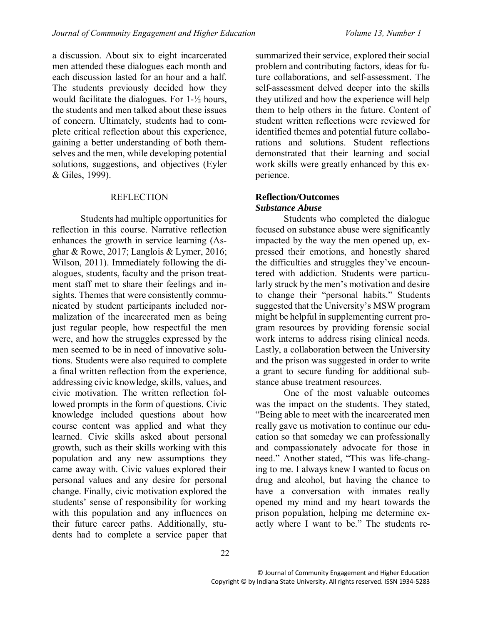a discussion. About six to eight incarcerated men attended these dialogues each month and each discussion lasted for an hour and a half. The students previously decided how they would facilitate the dialogues. For 1-½ hours, the students and men talked about these issues of concern. Ultimately, students had to complete critical reflection about this experience, gaining a better understanding of both themselves and the men, while developing potential solutions, suggestions, and objectives (Eyler & Giles, 1999).

#### **REFLECTION**

Students had multiple opportunities for reflection in this course. Narrative reflection enhances the growth in service learning (Asghar & Rowe, 2017; Langlois & Lymer, 2016; Wilson, 2011). Immediately following the dialogues, students, faculty and the prison treatment staff met to share their feelings and insights. Themes that were consistently communicated by student participants included normalization of the incarcerated men as being just regular people, how respectful the men were, and how the struggles expressed by the men seemed to be in need of innovative solutions. Students were also required to complete a final written reflection from the experience, addressing civic knowledge, skills, values, and civic motivation. The written reflection followed prompts in the form of questions. Civic knowledge included questions about how course content was applied and what they learned. Civic skills asked about personal growth, such as their skills working with this population and any new assumptions they came away with. Civic values explored their personal values and any desire for personal change. Finally, civic motivation explored the students' sense of responsibility for working with this population and any influences on their future career paths. Additionally, students had to complete a service paper that

summarized their service, explored their social problem and contributing factors, ideas for future collaborations, and self-assessment. The self-assessment delved deeper into the skills they utilized and how the experience will help them to help others in the future. Content of student written reflections were reviewed for identified themes and potential future collaborations and solutions. Student reflections demonstrated that their learning and social work skills were greatly enhanced by this experience.

#### **Reflection/Outcomes** *Substance Abuse*

Students who completed the dialogue focused on substance abuse were significantly impacted by the way the men opened up, expressed their emotions, and honestly shared the difficulties and struggles they've encountered with addiction. Students were particularly struck by the men's motivation and desire to change their "personal habits." Students suggested that the University's MSW program might be helpful in supplementing current program resources by providing forensic social work interns to address rising clinical needs. Lastly, a collaboration between the University and the prison was suggested in order to write a grant to secure funding for additional substance abuse treatment resources.

One of the most valuable outcomes was the impact on the students. They stated, "Being able to meet with the incarcerated men really gave us motivation to continue our education so that someday we can professionally and compassionately advocate for those in need." Another stated, "This was life-changing to me. I always knew I wanted to focus on drug and alcohol, but having the chance to have a conversation with inmates really opened my mind and my heart towards the prison population, helping me determine exactly where I want to be." The students re-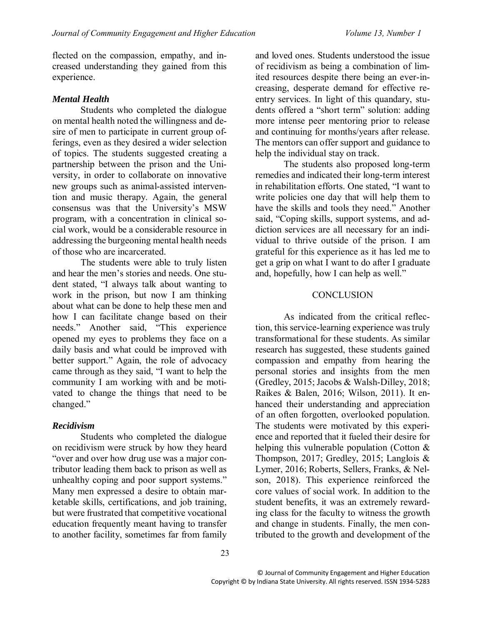flected on the compassion, empathy, and increased understanding they gained from this experience.

## *Mental Health*

Students who completed the dialogue on mental health noted the willingness and desire of men to participate in current group offerings, even as they desired a wider selection of topics. The students suggested creating a partnership between the prison and the University, in order to collaborate on innovative new groups such as animal-assisted intervention and music therapy. Again, the general consensus was that the University's MSW program, with a concentration in clinical social work, would be a considerable resource in addressing the burgeoning mental health needs of those who are incarcerated.

The students were able to truly listen and hear the men's stories and needs. One student stated, "I always talk about wanting to work in the prison, but now I am thinking about what can be done to help these men and how I can facilitate change based on their needs." Another said, "This experience opened my eyes to problems they face on a daily basis and what could be improved with better support." Again, the role of advocacy came through as they said, "I want to help the community I am working with and be motivated to change the things that need to be changed."

## *Recidivism*

Students who completed the dialogue on recidivism were struck by how they heard "over and over how drug use was a major contributor leading them back to prison as well as unhealthy coping and poor support systems." Many men expressed a desire to obtain marketable skills, certifications, and job training, but were frustrated that competitive vocational education frequently meant having to transfer to another facility, sometimes far from family

and loved ones. Students understood the issue of recidivism as being a combination of limited resources despite there being an ever-increasing, desperate demand for effective reentry services. In light of this quandary, students offered a "short term" solution: adding more intense peer mentoring prior to release and continuing for months/years after release. The mentors can offer support and guidance to help the individual stay on track.

The students also proposed long-term remedies and indicated their long-term interest in rehabilitation efforts. One stated, "I want to write policies one day that will help them to have the skills and tools they need." Another said, "Coping skills, support systems, and addiction services are all necessary for an individual to thrive outside of the prison. I am grateful for this experience as it has led me to get a grip on what I want to do after I graduate and, hopefully, how I can help as well."

#### **CONCLUSION**

As indicated from the critical reflection, this service-learning experience wastruly transformational for these students. As similar research has suggested, these students gained compassion and empathy from hearing the personal stories and insights from the men (Gredley, 2015; Jacobs & Walsh-Dilley, 2018; Raikes & Balen, 2016; Wilson, 2011). It enhanced their understanding and appreciation of an often forgotten, overlooked population. The students were motivated by this experience and reported that it fueled their desire for helping this vulnerable population (Cotton & Thompson, 2017; Gredley, 2015; Langlois & Lymer, 2016; Roberts, Sellers, Franks, & Nelson, 2018). This experience reinforced the core values of social work. In addition to the student benefits, it was an extremely rewarding class for the faculty to witness the growth and change in students. Finally, the men contributed to the growth and development of the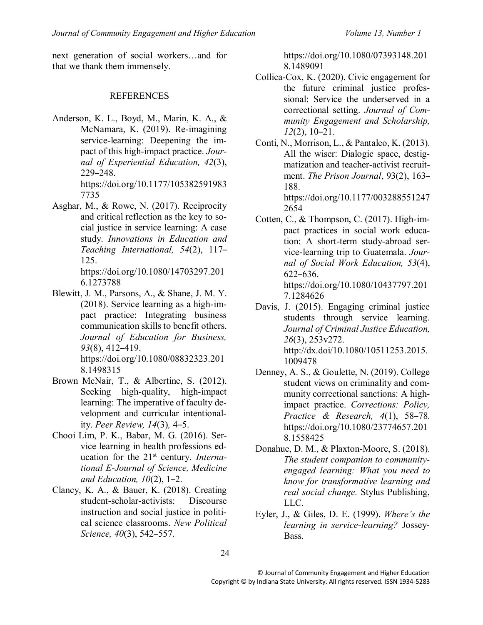next generation of social workers…and for that we thank them immensely.

#### **REFERENCES**

- Anderson, K. L., Boyd, M., Marin, K. A., & McNamara, K. (2019). Re-imagining service-learning: Deepening the impact of this high-impact practice. *Journal of Experiential Education, 42*(3), 229–248. https://doi.org/10.1177/105382591983 7735
- Asghar, M., & Rowe, N. (2017). Reciprocity and critical reflection as the key to social justice in service learning: A case study. *Innovations in Education and Teaching International, 54*(2), 117– 125.

https://doi.org/10.1080/14703297.201 6.1273788

- Blewitt, J. M., Parsons, A., & Shane, J. M. Y. (2018). Service learning as a high-impact practice: Integrating business communication skills to benefit others. *Journal of Education for Business, 93*(8), 412–419. https://doi.org/10.1080/08832323.201 8.1498315
- Brown McNair, T., & Albertine, S. (2012). Seeking high-quality, high-impact learning: The imperative of faculty development and curricular intentionality. *Peer Review, 14*(3)*,* 4–5.
- Chooi Lim, P. K., Babar, M. G. (2016). Service learning in health professions education for the 21st century. *International E-Journal of Science, Medicine and Education, 10*(2), 1–2.
- Clancy, K. A., & Bauer, K. (2018). Creating student-scholar-activists: Discourse instruction and social justice in political science classrooms. *New Political Science, 40*(3), 542–557.

https://doi.org/10.1080/07393148.201 8.1489091

- Collica-Cox, K. (2020). Civic engagement for the future criminal justice professional: Service the underserved in a correctional setting. *Journal of Community Engagement and Scholarship, 12*(2), 10–21.
- Conti, N., Morrison, L., & Pantaleo, K. (2013). All the wiser: Dialogic space, destigmatization and teacher-activist recruitment. *The Prison Journal*, 93(2), 163– 188. https://doi.org/10.1177/003288551247

2654

Cotten, C., & Thompson, C. (2017). High-impact practices in social work education: A short-term study-abroad service-learning trip to Guatemala. *Journal of Social Work Education, 53*(4), 622–636. https://doi.org/10.1080/10437797.201

7.1284626

- Davis, J. (2015). Engaging criminal justice students through service learning. *Journal of Criminal Justice Education, 26*(3), 253v272. http://dx.doi/10.1080/10511253.2015. 1009478
- Denney, A. S., & Goulette, N. (2019). College student views on criminality and community correctional sanctions: A highimpact practice. *Corrections: Policy, Practice & Research, 4*(1), 58–78. https://doi.org/10.1080/23774657.201 8.1558425
- Donahue, D. M., & Plaxton-Moore, S. (2018). *The student companion to communityengaged learning: What you need to know for transformative learning and real social change.* Stylus Publishing, LLC.
- Eyler, J., & Giles, D. E. (1999). *Where's the learning in service-learning?* Jossey-Bass.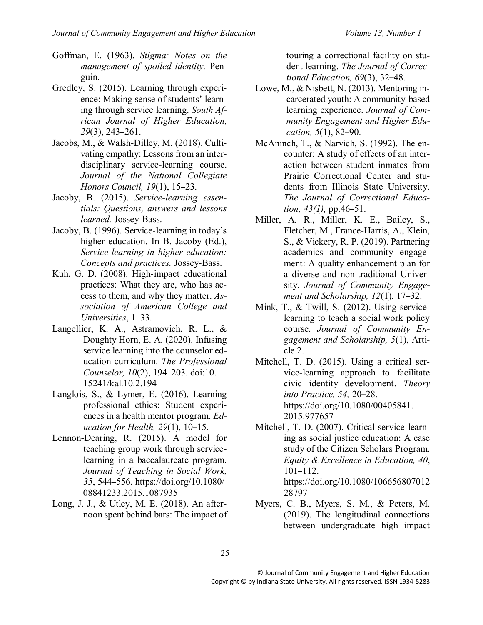- Goffman, E. (1963). *Stigma: Notes on the management of spoiled identity.* Penguin.
- Gredley, S. (2015). Learning through experience: Making sense of students' learning through service learning. *South African Journal of Higher Education, 29*(3), 243–261.
- Jacobs, M., & Walsh-Dilley, M. (2018). Cultivating empathy: Lessons from an interdisciplinary service-learning course. *Journal of the National Collegiate Honors Council, 19*(1), 15–23.
- Jacoby, B. (2015). *Service-learning essentials: Questions, answers and lessons learned.* Jossey-Bass.
- Jacoby, B. (1996). Service-learning in today's higher education. In B. Jacoby (Ed.), *Service-learning in higher education: Concepts and practices.* Jossey-Bass.
- Kuh, G. D. (2008). High-impact educational practices: What they are, who has access to them, and why they matter. *Association of American College and Universities*, 1–33.
- Langellier, K. A., Astramovich, R. L., & Doughty Horn, E. A. (2020). Infusing service learning into the counselor education curriculum. *The Professional Counselor, 10*(2), 194–203. doi:10. 15241/kal.10.2.194
- Langlois, S., & Lymer, E. (2016). Learning professional ethics: Student experiences in a health mentor program. *Education for Health, 29*(1), 10–15.
- Lennon-Dearing, R. (2015). A model for teaching group work through servicelearning in a baccalaureate program. *Journal of Teaching in Social Work, 35*, 544–556. https://doi.org/10.1080/ 08841233.2015.1087935
- Long, J. J., & Utley, M. E. (2018). An afternoon spent behind bars: The impact of

touring a correctional facility on student learning. *The Journal of Correctional Education, 69*(3), 32–48.

- Lowe, M., & Nisbett, N. (2013). Mentoring incarcerated youth: A community-based learning experience. *Journal of Community Engagement and Higher Education, 5*(1), 82–90.
- McAninch, T., & Narvich, S. (1992). The encounter: A study of effects of an interaction between student inmates from Prairie Correctional Center and students from Illinois State University. *The Journal of Correctional Education, 43(1),* pp.46–51.
- Miller, A. R., Miller, K. E., Bailey, S., Fletcher, M., France-Harris, A., Klein, S., & Vickery, R. P. (2019). Partnering academics and community engagement: A quality enhancement plan for a diverse and non-traditional University. *Journal of Community Engagement and Scholarship, 12*(1), 17–32.
- Mink, T., & Twill, S. (2012). Using servicelearning to teach a social work policy course. *Journal of Community Engagement and Scholarship, 5*(1), Article 2.
- Mitchell, T. D. (2015). Using a critical service-learning approach to facilitate civic identity development. *Theory into Practice, 54,* 20–28. https://doi.org/10.1080/00405841. 2015.977657
- Mitchell, T. D. (2007). Critical service-learning as social justice education: A case study of the Citizen Scholars Program. *Equity & Excellence in Education, 40*, 101–112. https://doi.org/10.1080/106656807012 28797
- Myers, C. B., Myers, S. M., & Peters, M. (2019). The longitudinal connections between undergraduate high impact
- 25